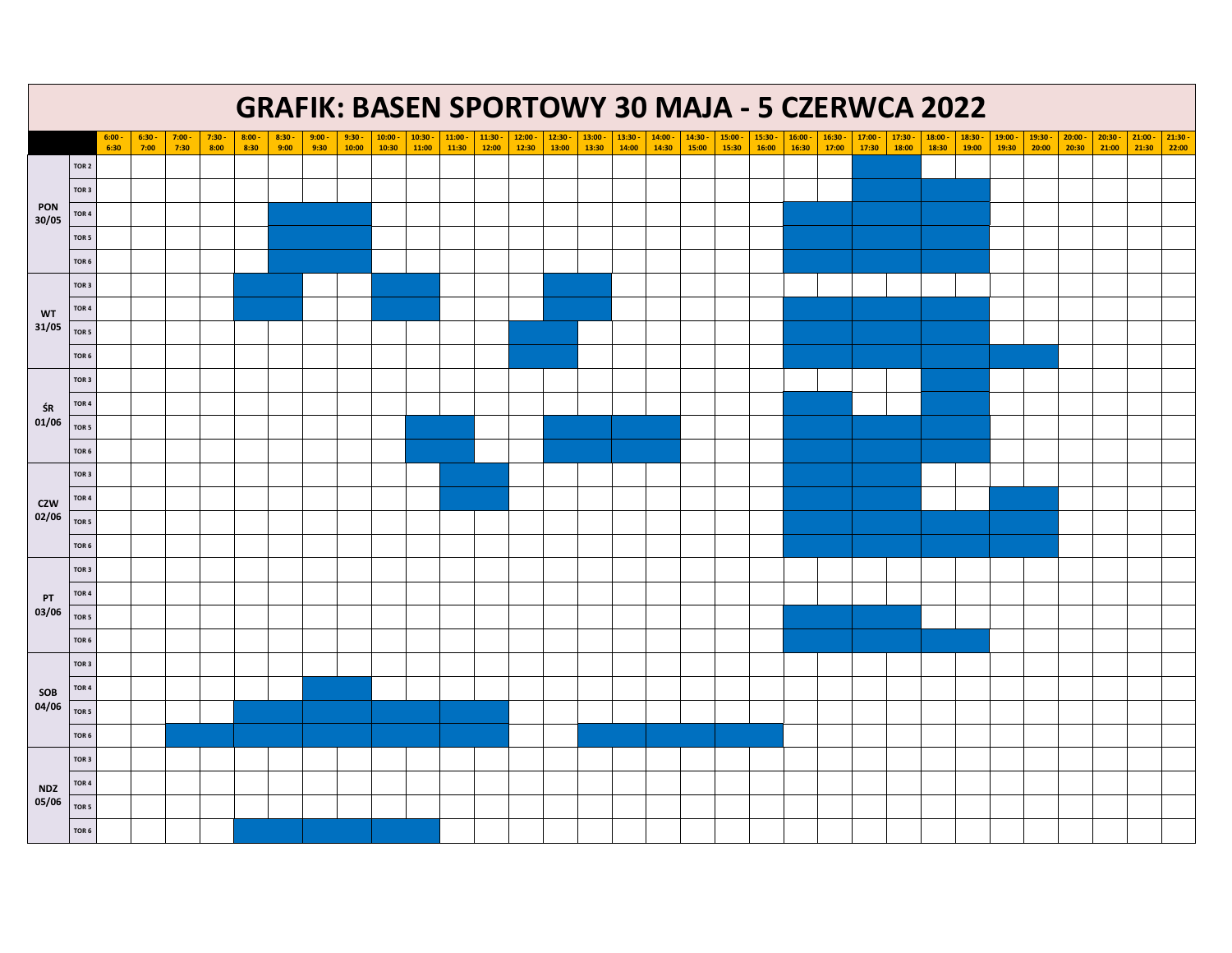